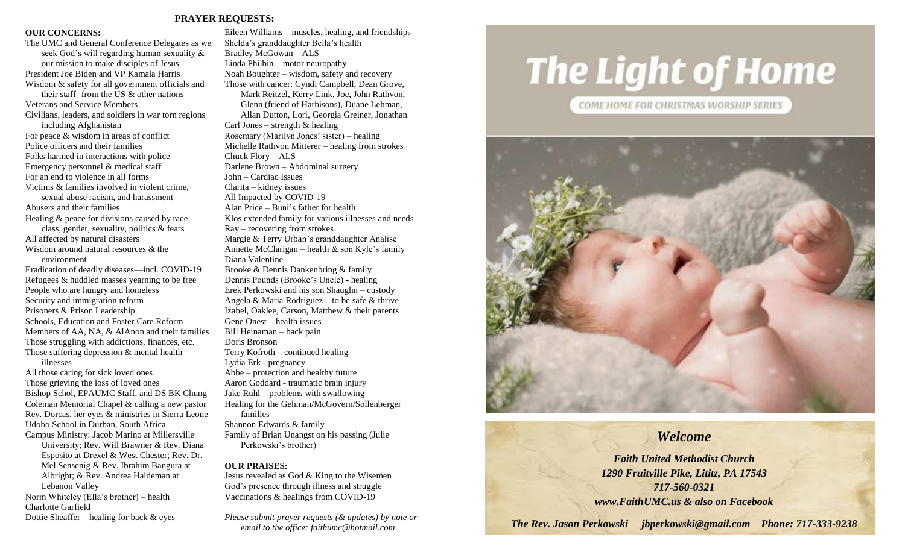#### **PRAYER REQUESTS:**

#### **OUR CONCERNS:**

The UMC and General Conference Delegates as we seek God's will regarding human sexuality & our mission to make disciples of Jesus President Joe Biden and VP Kamala Harris Wisdom & safety for all government officials and their staff- from the US & other nations Veterans and Service Members Civilians, leaders, and soldiers in war torn regions including Afghanistan For peace & wisdom in areas of conflict Police officers and their families Folks harmed in interactions with police Emergency personnel & medical staff For an end to violence in all forms Victims & families involved in violent crime, sexual abuse racism, and harassment Abusers and their families Healing & peace for divisions caused by race, class, gender, sexuality, politics & fears All affected by natural disasters Wisdom around natural resources & the environment Eradication of deadly diseases—incl. COVID-19 Refugees & huddled masses yearning to be free People who are hungry and homeless Security and immigration reform Prisoners & Prison Leadership Schools, Education and Foster Care Reform Members of AA, NA, & AlAnon and their families Those struggling with addictions, finances, etc. Those suffering depression & mental health illnesses All those caring for sick loved ones Those grieving the loss of loved ones Bishop Schol, EPAUMC Staff, and DS BK Chung Coleman Memorial Chapel & calling a new pastor

Rev. Dorcas, her eyes & ministries in Sierra Leone Udobo School in Durban, South Africa Campus Ministry: Jacob Marino at Millersville University; Rev. Will Brawner & Rev. Diana Esposito at Drexel & West Chester; Rev. Dr. Mel Sensenig & Rev. Ibrahim Bangura at Albright; & Rev. Andrea Haldeman at Lebanon Valley Norm Whiteley (Ella's brother) – health Charlotte Garfield

Dottie Sheaffer – healing for back  $\&$  eyes

Eileen Williams – muscles, healing, and friendships Shelda's granddaughter Bella's health Bradley McGowan – ALS Linda Philbin – motor neuropathy Noah Boughter – wisdom, safety and recovery Those with cancer: Cyndi Campbell, Dean Grove, Mark Reitzel, Kerry Link, Joe, John Rathvon, Glenn (friend of Harbisons), Duane Lehman, Allan Dutton, Lori, Georgia Greiner, Jonathan Carl Jones – strength  $&$  healing Rosemary (Marilyn Jones' sister) – healing Michelle Rathvon Mitterer – healing from strokes Chuck Flory – ALS Darlene Brown – Abdominal surgery John – Cardiac Issues Clarita – kidney issues All Impacted by COVID-19 Alan Price – Buni's father for health Klos extended family for various illnesses and needs Ray – recovering from strokes Margie & Terry Urban's granddaughter Analise Annette McClarigan – health & son Kyle's family Diana Valentine Brooke & Dennis Dankenbring & family Dennis Pounds (Brooke's Uncle) - healing Erek Perkowski and his son Shaughn – custody Angela & Maria Rodriguez – to be safe & thrive Izabel, Oaklee, Carson, Matthew & their parents Gene Onest – health issues Bill Heinaman – back pain Doris Bronson Terry Kofroth – continued healing Lydia Erk - pregnancy Abbe – protection and healthy future Aaron Goddard - traumatic brain injury Jake Ruhl – problems with swallowing Healing for the Gehman/McGovern/Sollenberger families Shannon Edwards & family Family of Brian Unangst on his passing (Julie Perkowski's brother)

#### **OUR PRAISES:**

Jesus revealed as God & King to the Wisemen God's presence through illness and struggle Vaccinations & healings from COVID-19

*Please submit prayer requests (& updates) by note or email to the office: faithumc@hotmail.com*

# **The Light of Home**

COME HOME FOR CHRISTMAS WORSHIP SERIES



### *Welcome*

*Faith United Methodist Church 1290 Fruitville Pike, Lititz, PA 17543 717-560-0321 www.FaithUMC.us & also on Facebook*

*The Rev. Jason Perkowski jbperkowski@gmail.com Phone: 717-333-9238*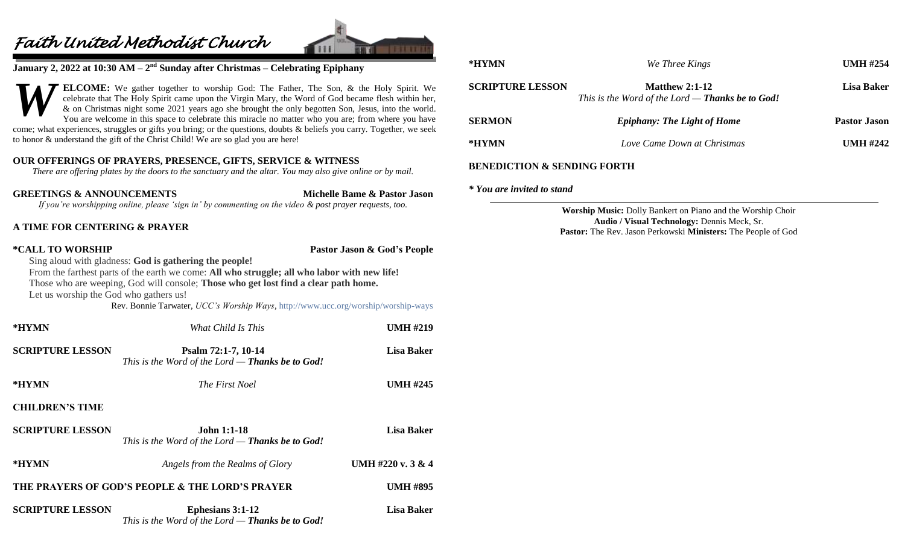## *Faith United Methodist Church*



**January 2, 2022 at 10:30 AM – 2<sup>nd</sup> Sunday after Christmas – Celebrating Epiphany** 

**ELCOME:** We gather together to worship God: The Father, The Son, & the Holy Spirit. We celebrate that The Holy Spirit came upon the Virgin Mary, the Word of God became flesh within her, & on Christmas night some 2021 years ago she brought the only begotten Son, Jesus, into the world. You are welcome in this space to celebrate this miracle no matter who you are; from where you have come; what experiences, struggles or gifts you bring; or the questions, doubts & beliefs you carry. Together, we seek to honor & understand the gift of the Christ Child! We are so glad you are here! *W*

#### **OUR OFFERINGS OF PRAYERS, PRESENCE, GIFTS, SERVICE & WITNESS**

*There are offering plates by the doors to the sanctuary and the altar. You may also give online or by mail.*

**GREETINGS & ANNOUNCEMENTS Michelle Bame & Pastor Jason**

*If you're worshipping online, please 'sign in' by commenting on the video & post prayer requests, too.*

#### **A TIME FOR CENTERING & PRAYER**

**\*CALL TO WORSHIP Pastor Jason & God's People**

Sing aloud with gladness: **God is gathering the people!** From the farthest parts of the earth we come: **All who struggle; all who labor with new life!** Those who are weeping, God will console; **Those who get lost find a clear path home.** Let us worship the God who gathers us!

Rev. Bonnie Tarwater, *UCC's Worship Ways*, <http://www.ucc.org/worship/worship-ways>

| *HYMN                   | What Child Is This                                                            | <b>UMH #219</b>   |
|-------------------------|-------------------------------------------------------------------------------|-------------------|
| <b>SCRIPTURE LESSON</b> | Psalm 72:1-7, 10-14<br>This is the Word of the Lord $-$ Thanks be to God!     | Lisa Baker        |
| *HYMN                   | <i>The First Noel</i>                                                         | <b>UMH #245</b>   |
| <b>CHILDREN'S TIME</b>  |                                                                               |                   |
| <b>SCRIPTURE LESSON</b> | <b>John 1:1-18</b><br>This is the Word of the Lord $-$ Thanks be to God!      | <b>Lisa Baker</b> |
| *HYMN                   | Angels from the Realms of Glory                                               | UMH #220 v. 3 & 4 |
|                         | THE PRAYERS OF GOD'S PEOPLE & THE LORD'S PRAYER                               | <b>UMH #895</b>   |
| <b>SCRIPTURE LESSON</b> | <b>Ephesians 3:1-12</b><br>This is the Word of the Lord $-$ Thanks be to God! | <b>Lisa Baker</b> |

| *HYMN                                  | We Three Kings                                                              | UMH $\#254$         |
|----------------------------------------|-----------------------------------------------------------------------------|---------------------|
| <b>SCRIPTURE LESSON</b>                | Matthew $2:1-12$<br>This is the Word of the Lord — <b>Thanks be to God!</b> | Lisa Baker          |
| <b>SERMON</b>                          | <b>Epiphany: The Light of Home</b>                                          | <b>Pastor Jason</b> |
| *HYMN                                  | Love Came Down at Christmas                                                 | UMH $\#242$         |
| <b>BENEDICTION &amp; SENDING FORTH</b> |                                                                             |                     |

#### *\* You are invited to stand*

**Worship Music:** Dolly Bankert on Piano and the Worship Choir **Audio / Visual Technology:** Dennis Meck, Sr. **Pastor:** The Rev. Jason Perkowski **Ministers:** The People of God